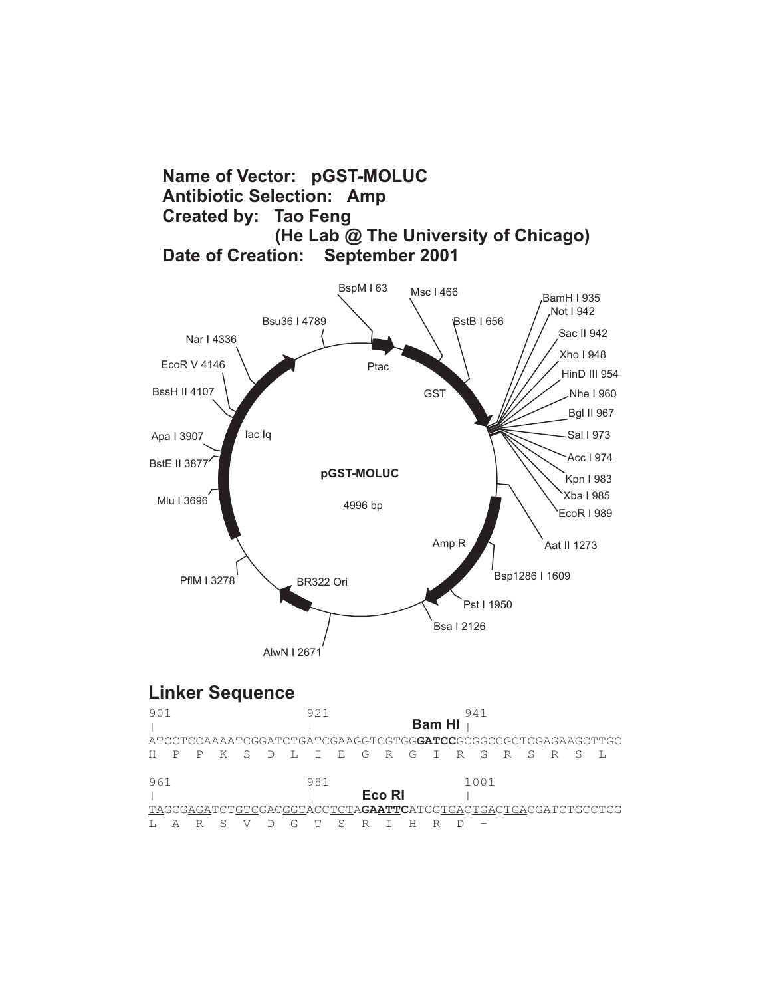## **Name of Vector: pGST-MOLUC Antibiotic Selection: Amp Created by: Tao Feng (He Lab @ The University of Chicago) Date of Creation:**



## **Linker Sequence**

| 901 |  |   |     |        | 921       |  |        | <b>Bam HI</b> | 941  |       |  |                                                                       |
|-----|--|---|-----|--------|-----------|--|--------|---------------|------|-------|--|-----------------------------------------------------------------------|
|     |  |   |     |        |           |  |        |               |      |       |  | ATCCTCCAAAATCGGATCTGATCGAAGGTCGTGGGATCCGCCGCCCCTCGAGAAGCTTGC          |
|     |  | K | S S | $\Box$ | LIEGRGIRG |  |        |               |      | R S R |  |                                                                       |
| 961 |  |   |     |        | 981       |  |        |               | 1001 |       |  |                                                                       |
|     |  |   |     |        |           |  | Eco RI |               |      |       |  |                                                                       |
|     |  |   |     |        |           |  |        |               |      |       |  | TAGCGAGATCTGTCGACGGTACCTCTA <b>GAATTC</b> ATCGTGACTGACTGACGATCTGCCTCG |
|     |  |   |     |        |           |  |        |               |      |       |  |                                                                       |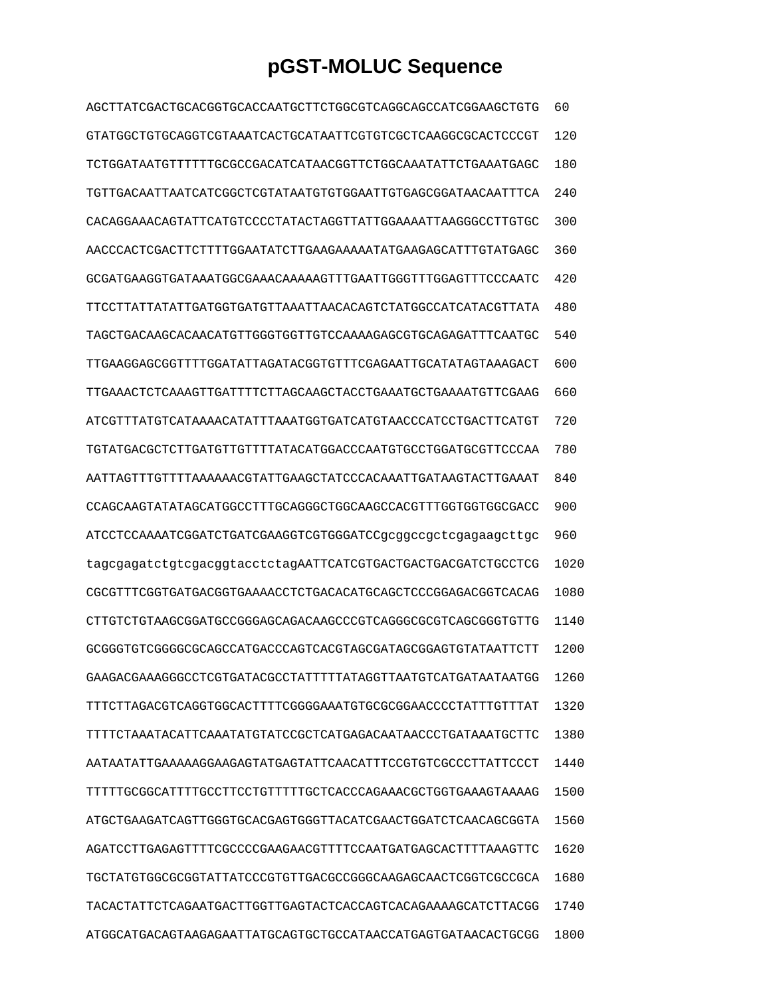## **pGST-MOLUC Sequence**

| AGCTTATCGACTGCACGGTGCACCAATGCTTCTGGCGTCAGGCAGCCATCGGAAGCTGTG | 60   |
|--------------------------------------------------------------|------|
| GTATGGCTGTGCAGGTCGTAAATCACTGCATAATTCGTGTCGCTCAAGGCGCACTCCCGT | 120  |
| TCTGGATAATGTTTTTTGCGCCGACATCATAACGGTTCTGGCAAATATTCTGAAATGAGC | 180  |
| TGTTGACAATTAATCATCGGCTCGTATAATGTGTGGAATTGTGAGCGGATAACAATTTCA | 2.40 |
| CACAGGAAACAGTATTCATGTCCCCTATACTAGGTTATTGGAAAATTAAGGGCCTTGTGC | 300  |
| AACCCACTCGACTTCTTTTGGAATATCTTGAAGAAAAATATGAAGAGCATTTGTATGAGC | 360  |
| GCGATGAAGGTGATAAATGGCGAAACAAAAAGTTTGAATTGGGTTTGGAGTTTCCCAATC | 420  |
| TTCCTTATTATATTGATGGTGATGTTAAATTAACACAGTCTATGGCCATCATACGTTATA | 480  |
| TAGCTGACAAGCACAACATGTTGGGTGGTTGTCCAAAAGAGCGTGCAGAGATTTCAATGC | 540  |
| TTGAAGGAGCGGTTTTGGATATTAGATACGGTGTTTCGAGAATTGCATATAGTAAAGACT | 600  |
| TTGAAACTCTCAAAGTTGATTTTCTTAGCAAGCTACCTGAAATGCTGAAAATGTTCGAAG | 660  |
| ATCGTTTATGTCATAAAACATATTTAAATGGTGATCATGTAACCCATCCTGACTTCATGT | 720  |
| TGTATGACGCTCTTGATGTTGTTTTATACATGGACCCAATGTGCCTGGATGCGTTCCCAA | 780  |
| AATTAGTTTGTTTTAAAAAACGTATTGAAGCTATCCCACAAATTGATAAGTACTTGAAAT | 840  |
| CCAGCAAGTATATAGCATGGCCTTTGCAGGGCTGGCAAGCCACGTTTGGTGGTGGCGACC | 900  |
| ATCCTCCAAAATCGGATCTGATCGAAGGTCGTGGGATCCqcqqccqctcqaqaaqcttqc | 960  |
| tagcgagatctgtcgacggtacctctagAATTCATCGTGACTGACTGACGATCTGCCTCG | 1020 |
| CGCGTTTCGGTGATGACGGTGAAAACCTCTGACACATGCAGCTCCCGGAGACGGTCACAG | 1080 |
| CTTGTCTGTAAGCGGATGCCGGGAGCAGACAAGCCCGTCAGGGCGCGTCAGCGGGTGTTG | 1140 |
| GCGGGTGTCGGGGCGCAGCCATGACCCAGTCACGTAGCGATAGCGGAGTGTATAATTCTT | 1200 |
| GAAGACGAAAGGGCCTCGTGATACGCCTATTTTTATAGGTTAATGTCATGATAATAATGG | 1260 |
| TTTCTTAGACGTCAGGTGGCACTTTTCGGGGAAATGTGCGCGGAACCCCTATTTGTTTAT | 1320 |
| TTTTCTAAATACATTCAAATATGTATCCGCTCATGAGACAATAACCCTGATAAATGCTTC | 1380 |
| AATAATATTGAAAAAGGAAGAGTATGAGTATTCAACATTTCCGTGTCGCCCTTATTCCCT | 1440 |
| TTTTTGCGGCATTTTGCCTTCCTGTTTTTGCTCACCCAGAAACGCTGGTGAAAGTAAAAG | 1500 |
| ATGCTGAAGATCAGTTGGGTGCACGAGTGGGTTACATCGAACTGGATCTCAACAGCGGTA | 1560 |
| AGATCCTTGAGAGTTTTCGCCCCGAAGAACGTTTTCCAATGATGAGCACTTTTAAAGTTC | 1620 |
| TGCTATGTGGCGCGGTATTATCCCGTGTTGACGCCGGGCAAGAGCAACTCGGTCGCCGCA | 1680 |
| TACACTATTCTCAGAATGACTTGGTTGAGTACTCACCAGTCACAGAAAAGCATCTTACGG | 1740 |
| ATGGCATGACAGTAAGAGAATTATGCAGTGCTGCCATAACCATGAGTGATAACACTGCGG | 1800 |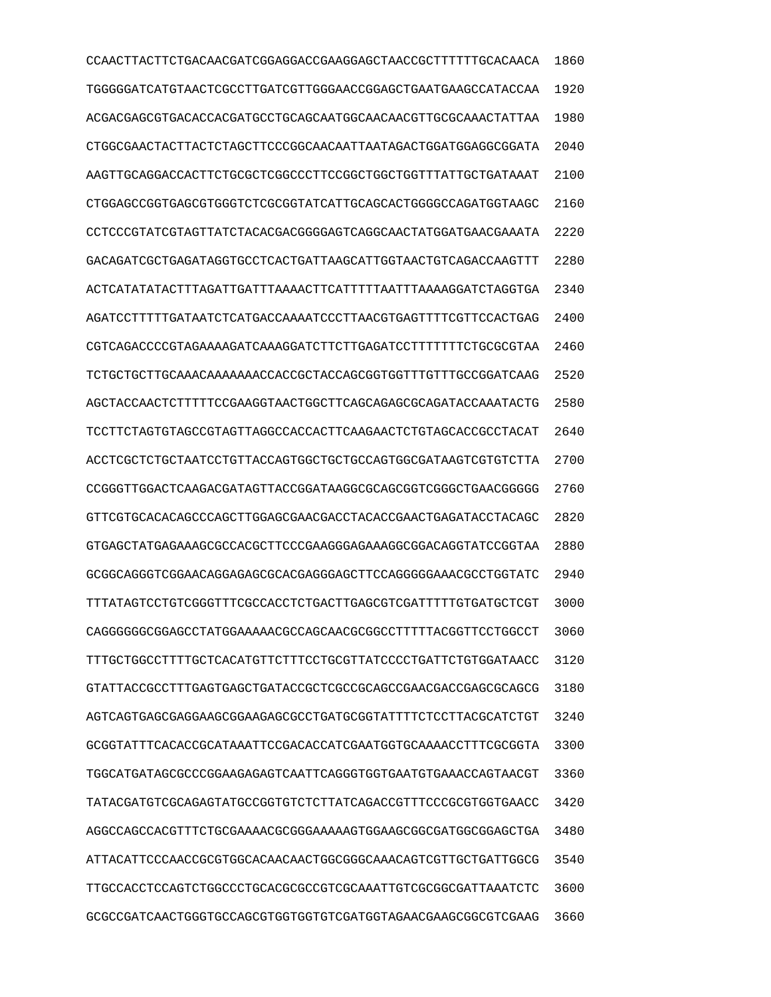CCAACTTACTTCTGACAACGATCGGAGGACCGAAGGAGCTAACCGCTTTTTTGCACAACA 1860 TGGGGGATCATGTAACTCGCCTTGATCGTTGGGAACCGGAGCTGAATGAAGCCATACCAA 1920 ACGACGAGCGTGACACCACGATGCCTGCAGCAATGGCAACAACGTTGCGCAAACTATTAA 1980 CTGGCGAACTACTTACTCTAGCTTCCCGGCAACAATTAATAGACTGGATGGAGGCGGATA 2040 AAGTTGCAGGACCACTTCTGCGCTCGGCCCTTCCGGCTGGCTGGTTTATTGCTGATAAAT 2100 CTGGAGCCGGTGAGCGTGGGTCTCGCGGTATCATTGCAGCACTGGGGCCAGATGGTAAGC 2160 CCTCCCGTATCGTAGTTATCTACACGACGGGGAGTCAGGCAACTATGGATGAACGAAATA 2220 GACAGATCGCTGAGATAGGTGCCTCACTGATTAAGCATTGGTAACTGTCAGACCAAGTTT 2280 ACTCATATATACTTTAGATTGATTTAAAACTTCATTTTTAATTTAAAAGGATCTAGGTGA 2340 AGATCCTTTTTGATAATCTCATGACCAAAATCCCTTAACGTGAGTTTTCGTTCCACTGAG 2400 CGTCAGACCCCGTAGAAAAGATCAAAGGATCTTCTTGAGATCCTTTTTTTCTGCGCGTAA 2460 TCTGCTGCTTGCAAACAAAAAAACCACCGCTACCAGCGGTGGTTTGTTTGCCGGATCAAG 2520 AGCTACCAACTCTTTTTCCGAAGGTAACTGGCTTCAGCAGAGCGCAGATACCAAATACTG 2580 TCCTTCTAGTGTAGCCGTAGTTAGGCCACCACTTCAAGAACTCTGTAGCACCGCCTACAT 2640 ACCTCGCTCTGCTAATCCTGTTACCAGTGGCTGCTGCCAGTGGCGATAAGTCGTGTCTTA 2700 CCGGGTTGGACTCAAGACGATAGTTACCGGATAAGGCGCAGCGGTCGGGCTGAACGGGGG 2760 GTTCGTGCACACAGCCCAGCTTGGAGCGAACGACCTACACCGAACTGAGATACCTACAGC 2820 GTGAGCTATGAGAAAGCGCCACGCTTCCCGAAGGGAGAAAGGCGGACAGGTATCCGGTAA 2880 GCGGCAGGGTCGGAACAGGAGAGCGCACGAGGGAGCTTCCAGGGGGAAACGCCTGGTATC 2940 TTTATAGTCCTGTCGGGTTTCGCCACCTCTGACTTGAGCGTCGATTTTTGTGATGCTCGT 3000 CAGGGGGGCGGAGCCTATGGAAAAACGCCAGCAACGCGGCCTTTTTACGGTTCCTGGCCT 3060 TTTGCTGGCCTTTTGCTCACATGTTCTTTCCTGCGTTATCCCCTGATTCTGTGGATAACC 3120 GTATTACCGCCTTTGAGTGAGCTGATACCGCTCGCCGCAGCCGAACGACCGAGCGCAGCG 3180 AGTCAGTGAGCGAGGAAGCGGAAGAGCGCCTGATGCGGTATTTTCTCCTTACGCATCTGT 3240 GCGGTATTTCACACCGCATAAATTCCGACACCATCGAATGGTGCAAAACCTTTCGCGGTA 3300 TGGCATGATAGCGCCCGGAAGAGAGTCAATTCAGGGTGGTGAATGTGAAACCAGTAACGT 3360 TATACGATGTCGCAGAGTATGCCGGTGTCTCTTATCAGACCGTTTCCCGCGTGGTGAACC 3420 AGGCCAGCCACGTTTCTGCGAAAACGCGGGAAAAAGTGGAAGCGGCGATGGCGGAGCTGA 3480 ATTACATTCCCAACCGCGTGGCACAACAACTGGCGGGCAAACAGTCGTTGCTGATTGGCG 3540 TTGCCACCTCCAGTCTGGCCCTGCACGCGCCGTCGCAAATTGTCGCGGCGATTAAATCTC 3600 GCGCCGATCAACTGGGTGCCAGCGTGGTGGTGTCGATGGTAGAACGAAGCGGCGTCGAAG 3660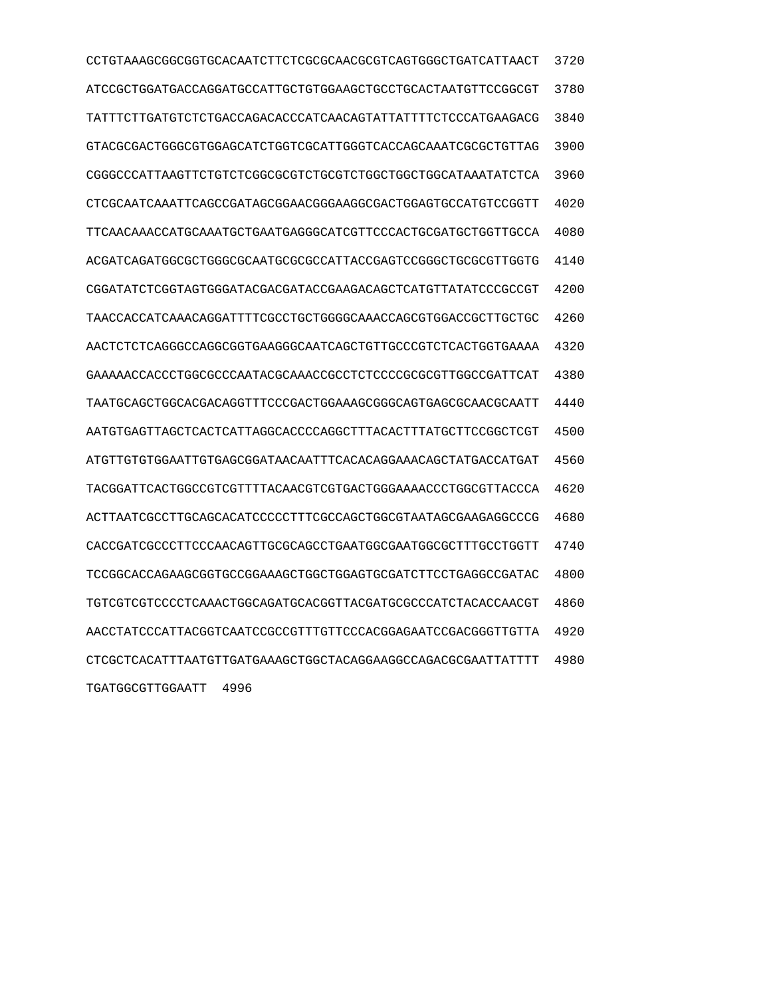CCTGTAAAGCGGCGGTGCACAATCTTCTCGCGCAACGCGTCAGTGGGCTGATCATTAACT 3720 ATCCGCTGGATGACCAGGATGCCATTGCTGTGGAAGCTGCCTGCACTAATGTTCCGGCGT 3780 TATTTCTTGATGTCTCTGACCAGACACCCATCAACAGTATTATTTTCTCCCATGAAGACG 3840 GTACGCGACTGGGCGTGGAGCATCTGGTCGCATTGGGTCACCAGCAAATCGCGCTGTTAG 3900 CGGGCCCATTAAGTTCTGTCTCGGCGCGTCTGCGTCTGGCTGGCTGGCATAAATATCTCA 3960 CTCGCAATCAAATTCAGCCGATAGCGGAACGGGAAGGCGACTGGAGTGCCATGTCCGGTT 4020 TTCAACAAACCATGCAAATGCTGAATGAGGGCATCGTTCCCACTGCGATGCTGGTTGCCA 4080 ACGATCAGATGGCGCTGGGCGCAATGCGCGCCATTACCGAGTCCGGGCTGCGCGTTGGTG 4140 CGGATATCTCGGTAGTGGGATACGACGATACCGAAGACAGCTCATGTTATATCCCGCCGT 4200 TAACCACCATCAAACAGGATTTTCGCCTGCTGGGGCAAACCAGCGTGGACCGCTTGCTGC 4260 AACTCTCTCAGGGCCAGGCGGTGAAGGGCAATCAGCTGTTGCCCGTCTCACTGGTGAAAA 4320 GAAAAACCACCCTGGCGCCCAATACGCAAACCGCCTCTCCCCGCGCGTTGGCCGATTCAT 4380 TAATGCAGCTGGCACGACAGGTTTCCCGACTGGAAAGCGGGCAGTGAGCGCAACGCAATT 4440 AATGTGAGTTAGCTCACTCATTAGGCACCCCAGGCTTTACACTTTATGCTTCCGGCTCGT 4500 ATGTTGTGTGGAATTGTGAGCGGATAACAATTTCACACAGGAAACAGCTATGACCATGAT 4560 TACGGATTCACTGGCCGTCGTTTTACAACGTCGTGACTGGGAAAACCCTGGCGTTACCCA 4620 ACTTAATCGCCTTGCAGCACATCCCCCTTTCGCCAGCTGGCGTAATAGCGAAGAGGCCCG 4680 CACCGATCGCCCTTCCCAACAGTTGCGCAGCCTGAATGGCGAATGGCGCTTTGCCTGGTT 4740 TCCGGCACCAGAAGCGGTGCCGGAAAGCTGGCTGGAGTGCGATCTTCCTGAGGCCGATAC 4800 TGTCGTCGTCCCCTCAAACTGGCAGATGCACGGTTACGATGCGCCCATCTACACCAACGT 4860 AACCTATCCCATTACGGTCAATCCGCCGTTTGTTCCCACGGAGAATCCGACGGGTTGTTA 4920 CTCGCTCACATTTAATGTTGATGAAAGCTGGCTACAGGAAGGCCAGACGCGAATTATTTT 4980 TGATGGCGTTGGAATT 4996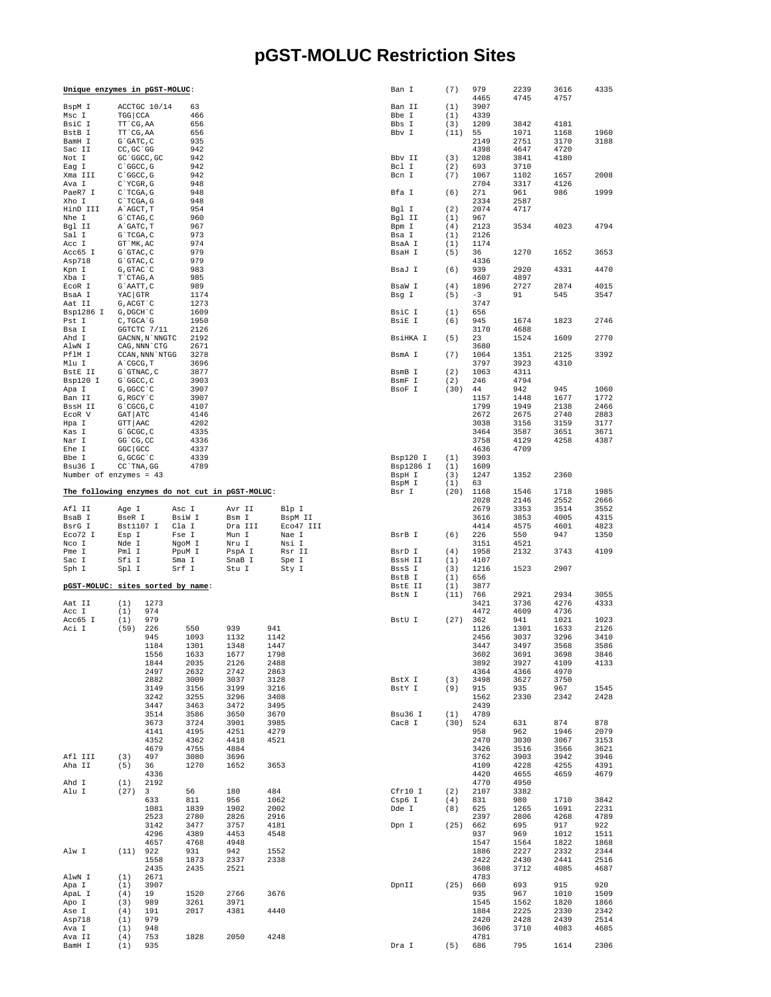## pGST-MOLUC Restriction Sites

| Unique enzymes in pGST-MOLUC:                   |                             |                 |                 |                  |                      | Ban I                 | (7)        | 979<br>4465  | 2239<br>4745 | 3616<br>4757 | 4335         |
|-------------------------------------------------|-----------------------------|-----------------|-----------------|------------------|----------------------|-----------------------|------------|--------------|--------------|--------------|--------------|
| BspM I                                          |                             | ACCTGC 10/14    | 63              |                  |                      | Ban II                | (1)        | 3907         |              |              |              |
| Msc I                                           | TGG CCA                     |                 | 466             |                  |                      | Bbe I                 | (1)        | 4339         |              |              |              |
| BsiC I                                          | TT CG, AA                   |                 | 656             |                  |                      | Bbs I                 | (3)        | 1209         | 3842         | 4181         |              |
| BstB I<br>BamH I                                | TT CG, AA<br>G`GATC, C      |                 | 656<br>935      |                  |                      | Bbv I                 | (11)       | 55<br>2149   | 1071<br>2751 | 1168<br>3170 | 1960<br>3188 |
| Sac II                                          | CC, GC GG                   |                 | 942             |                  |                      |                       |            | 4398         | 4647         | 4720         |              |
| Not I                                           | GC 'GGCC, GC                |                 | 942             |                  |                      | Bbv II                | (3)        | 1208         | 3841         | 4180         |              |
| Eag I                                           | $C$ $GC$ , $G$              |                 | 942             |                  |                      | Bcl I                 | (2)        | 693          | 3710         |              |              |
| Xma III<br>Ava I                                | $C$ $GC$ , $G$<br>C`YCGR, G |                 | 942<br>948      |                  |                      | Bcn I                 | (7)        | 1067<br>2704 | 1102<br>3317 | 1657<br>4126 | 2008         |
| PaeR7 I                                         | $C$ TCGA, G                 |                 | 948             |                  |                      | Bfa I                 | (6)        | 271          | 961          | 986          | 1999         |
| Xho I                                           | $C$ TCGA, G                 |                 | 948             |                  |                      |                       |            | 2334         | 2587         |              |              |
| HinD III                                        | A`AGCT, T                   |                 | 954             |                  |                      | Bgl I                 | (2)        | 2074         | 4717         |              |              |
| Nhe I                                           | $G$ $CTAG$ , $C$            |                 | 960             |                  |                      | Bgl II                | (1)        | 967          |              |              | 4794         |
| Bgl II<br>Sal I                                 | A GATC, T<br>G`TCGA, C      |                 | 967<br>973      |                  |                      | Bpm I<br>Bsa I        | (4)<br>(1) | 2123<br>2126 | 3534         | 4023         |              |
| Acc I                                           | GT `MK, AC                  |                 | 974             |                  |                      | BsaA I                | (1)        | 1174         |              |              |              |
| Acc65 I                                         | G`GTAC, C                   |                 | 979             |                  |                      | BsaH I                | (5)        | 36           | 1270         | 1652         | 3653         |
| Asp718                                          | $G$ $GTAC$ , $C$            |                 | 979             |                  |                      |                       |            | 4336         |              |              |              |
| Kpn I<br>Xba I                                  | G, GTAC `C<br>T`CTAG, A     |                 | 983<br>985      |                  |                      | BsaJ I                | (6)        | 939<br>4607  | 2920<br>4897 | 4331         | 4470         |
| ECOR I                                          | G`AATT, C                   |                 | 989             |                  |                      | BsaW I                | (4)        | 1896         | 2727         | 2874         | 4015         |
| BsaA I                                          | YAC GTR                     |                 | 1174            |                  |                      | Bsg I                 | (5)        | $-3$         | 91           | 545          | 3547         |
| Aat II                                          | G, ACGT `C                  |                 | 1273            |                  |                      |                       |            | 3747         |              |              |              |
| Bsp1286 I<br>Pst I                              | G, DGCH C<br>C, TGCA G      |                 | 1609<br>1950    |                  |                      | BsiC I<br>BsiE I      | (1)<br>(6) | 656<br>945   | 1674         | 1823         | 2746         |
| Bsa I                                           |                             | GGTCTC 7/11     | 2126            |                  |                      |                       |            | 3170         | 4688         |              |              |
| Ahd I                                           |                             | GACNN, N`NNGTC  | 2192            |                  |                      | BsiHKA I              | (5)        | 23           | 1524         | 1609         | 2770         |
| AlwN I                                          |                             | CAG, NNN CTG    | 2671            |                  |                      |                       |            | 3680         |              |              |              |
| PflM I<br>Mlu I                                 | A CGCG, T                   | CCAN, NNN `NTGG | 3278<br>3696    |                  |                      | BsmA I                | (7)        | 1064<br>3797 | 1351<br>3923 | 2125<br>4310 | 3392         |
| BstE II                                         | G`GTNAC, C                  |                 | 3877            |                  |                      | BsmB I                | (2)        | 1063         | 4311         |              |              |
| Bsp120 I                                        | G`GGCC, C                   |                 | 3903            |                  |                      | BsmF I                | (2)        | 246          | 4794         |              |              |
| Apa I                                           | G, GGCC C                   |                 | 3907            |                  |                      | BsoF I                | (30)       | 44           | 942          | 945          | 1060         |
| Ban II                                          | G, RGCY `C                  |                 | 3907            |                  |                      |                       |            | 1157         | 1448         | 1677         | 1772         |
| BssH II<br>ECOR V                               | G`CGCG, C<br>GAT ATC        |                 | 4107<br>4146    |                  |                      |                       |            | 1799<br>2672 | 1949<br>2675 | 2138<br>2740 | 2466<br>2883 |
| Hpa I                                           | GTT   AAC                   |                 | 4202            |                  |                      |                       |            | 3038         | 3156         | 3159         | 3177         |
| Kas I                                           | G`GCGC, C                   |                 | 4335            |                  |                      |                       |            | 3464         | 3587         | 3651         | 3671         |
| Nar I                                           | GG 'CG, CC                  |                 | 4336            |                  |                      |                       |            | 3758         | 4129         | 4258         | 4387         |
| Ehe I                                           | GGC GCC                     |                 | 4337            |                  |                      |                       |            | 4636         | 4709         |              |              |
| Bbe I<br>Bsu36 I                                | G, GCGC `C<br>CC `TNA, GG   |                 | 4339<br>4789    |                  |                      | Bsp120 I<br>Bsp1286 I | (1)<br>(1) | 3903<br>1609 |              |              |              |
| Number of enzymes = $43$                        |                             |                 |                 |                  |                      | BspH I                | (3)        | 1247         | 1352         | 2360         |              |
|                                                 |                             |                 |                 |                  |                      | BspM I                | (1)        | 63           |              |              |              |
| The following enzymes do not cut in pGST-MOLUC: |                             |                 |                 |                  |                      | Bsr I                 | (20)       | 1168         | 1546         | 1718         | 1985         |
|                                                 |                             |                 |                 |                  |                      |                       |            | 2028         | 2146         | 2552<br>3514 | 2666<br>3552 |
|                                                 |                             |                 |                 |                  |                      |                       |            |              |              |              |              |
| Afl II                                          | Age I                       |                 | Asc I           | Avr II           | Blp I                |                       |            | 2679         | 3353         |              |              |
| BsaB I<br>BsrG I                                | BseR I<br>Bst1107 I         |                 | BsiW I<br>Cla I | Bsm I<br>Dra III | BspM II<br>Eco47 III |                       |            | 3616<br>4414 | 3853<br>4575 | 4005<br>4601 | 4315<br>4823 |
| Eco72 I                                         | Esp I                       |                 | Fse I           | Mun I            | Nae I                | BsrB I                | (6)        | 226          | 550          | 947          | 1350         |
| Nco I                                           | Nde I                       |                 | NgoM I          | Nru I            | Nsi I                |                       |            | 3151         | 4521         |              |              |
| Pme I                                           | Pml I                       |                 | PpuM I          | PspA I           | Rsr II               | BsrD I                | (4)        | 1958         | 2132         | 3743         | 4109         |
| Sac I<br>Sph I                                  | Sfi I<br>Spl I              |                 | Sma I<br>Srf I  | SnaB I<br>Stu I  | Spe I<br>Sty I       | BssH II<br>BssS I     | (1)<br>(3) | 4107<br>1216 | 1523         | 2907         |              |
|                                                 |                             |                 |                 |                  |                      | BstB I                | (1)        | 656          |              |              |              |
| pGST-MOLUC: sites sorted by name:               |                             |                 |                 |                  |                      | BstE II               | (1)        | 3877         |              |              |              |
|                                                 |                             |                 |                 |                  |                      | BstN I                | (11)       | 766          | 2921         | 2934         | 3055         |
| Aat II<br>Acc I                                 | (1)<br>(1)                  | 1273<br>974     |                 |                  |                      |                       |            | 3421<br>4472 | 3736<br>4609 | 4276<br>4736 | 4333         |
| Acc65 I                                         | (1)                         | 979             |                 |                  |                      | BstU I                | (27)       | 362          | 941          | 1021         | 1023         |
| Aci I                                           | (59)                        | 226             | 550             | 939              | 941                  |                       |            | 1126         | 1301         | 1633         | 2126         |
|                                                 |                             | 945             | 1093            | 1132             | 1142                 |                       |            | 2456         | 3037         | 3296         | 3410         |
|                                                 |                             | 1184            | 1301            | 1348             | 1447                 |                       |            | 3447         | 3497         | 3568         | 3586         |
|                                                 |                             | 1556<br>1844    | 1633<br>2035    | 1677<br>2126     | 1798<br>2488         |                       |            | 3602<br>3892 | 3691<br>3927 | 3698<br>4109 | 3846<br>4133 |
|                                                 |                             | 2497            | 2632            | 2742             | 2863                 |                       |            | 4364         | 4366         | 4970         |              |
|                                                 |                             | 2882            | 3009            | 3037             | 3128                 | BstX I                | (3)        | 3498         | 3627         | 3750         |              |
|                                                 |                             | 3149<br>3242    | 3156<br>3255    | 3199<br>3296     | 3216<br>3408         | BstY I                | (9)        | 915<br>1562  | 935<br>2330  | 967<br>2342  | 1545<br>2428 |
|                                                 |                             | 3447            | 3463            | 3472             | 3495                 |                       |            | 2439         |              |              |              |
|                                                 |                             | 3514            | 3586            | 3650             | 3670                 | Bsu36 I               | (1)        | 4789         |              |              |              |
|                                                 |                             | 3673            | 3724            | 3901             | 3985                 | Cac8 I                | (30)       | 524          | 631          | 874          | 878          |
|                                                 |                             | 4141            | 4195            | 4251             | 4279                 |                       |            | 958          | 962          | 1946         | 2079         |
|                                                 |                             | 4352<br>4679    | 4362<br>4755    | 4418<br>4884     | 4521                 |                       |            | 2470<br>3426 | 3030<br>3516 | 3067<br>3566 | 3153<br>3621 |
| Afl III                                         | (3)                         | 497             | 3080            | 3696             |                      |                       |            | 3762         | 3903         | 3942         | 3946         |
| Aha II                                          | (5)                         | 36              | 1270            | 1652             | 3653                 |                       |            | 4109         | 4228         | 4255         | 4391         |
|                                                 |                             | 4336            |                 |                  |                      |                       |            | 4420         | 4655         | 4659         | 4679         |
| Ahd I                                           | (1)                         | 2192            |                 |                  |                      | Cfr10 I               |            | 4770         | 4950         |              |              |
| Alu I                                           | (27)                        | 3<br>633        | 56<br>811       | 180<br>956       | 484<br>1062          | Csp6 I                | (2)<br>(4) | 2107<br>831  | 3382<br>980  | 1710         | 3842         |
|                                                 |                             | 1081            | 1839            | 1902             | 2002                 | Dde I                 | (8)        | 625          | 1265         | 1691         | 2231         |
|                                                 |                             | 2523            | 2780            | 2826             | 2916                 |                       |            | 2397         | 2806         | 4268         | 4789         |
|                                                 |                             | 3142            | 3477            | 3757             | 4181                 | Dpn I                 | (25)       | 662          | 695          | 917          | 922          |
|                                                 |                             | 4296<br>4657    | 4389<br>4768    | 4453<br>4948     | 4548                 |                       |            | 937<br>1547  | 969<br>1564  | 1012<br>1822 | 1511<br>1868 |
| Alw I                                           | $(11)$ 922                  |                 | 931             | 942              | 1552                 |                       |            | 1886         | 2227         | 2332         | 2344         |
|                                                 |                             | 1558            | 1873            | 2337             | 2338                 |                       |            | 2422         | 2430         | 2441         | 2516         |
|                                                 |                             | 2435            | 2435            | 2521             |                      |                       |            | 3608         | 3712         | 4085         | 4687         |
| AlwN I<br>Apa I                                 | (1)<br>(1)                  | 2671<br>3907    |                 |                  |                      | DpnII                 | (25)       | 4783<br>660  | 693          | 915          | 920          |
| ApaL I                                          | (4)                         | 19              | 1520            | 2766             | 3676                 |                       |            | 935          | 967          | 1010         | 1509         |
| Apo I                                           | (3)                         | 989             | 3261            | 3971             |                      |                       |            | 1545         | 1562         | 1820         | 1866         |
| Ase I                                           | (4)                         | 191             | 2017            | 4381             | 4440                 |                       |            | 1884         | 2225         | 2330         | 2342         |
| Asp718                                          | (1)                         | 979             |                 |                  |                      |                       |            | 2420         | 2428         | 2439         | 2514         |
| Ava I<br>Ava II                                 | (1)<br>(4)                  | 948<br>753      | 1828            | 2050             | 4248                 |                       |            | 3606<br>4781 | 3710<br>795  | 4083<br>1614 | 4685<br>2306 |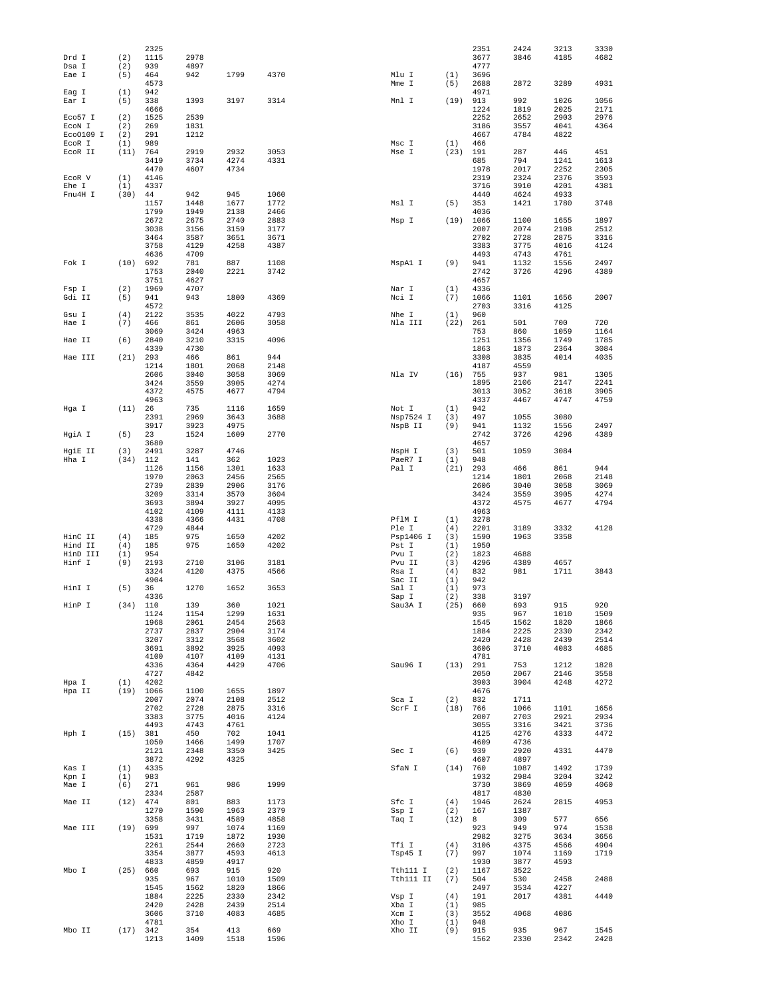|                     |            | 2325         |              |              |              |                  |             | 2351         | 2424         | 3213         | 3330         |
|---------------------|------------|--------------|--------------|--------------|--------------|------------------|-------------|--------------|--------------|--------------|--------------|
| Drd I<br>Dsa I      | (2)<br>(2) | 1115<br>939  | 2978<br>4897 |              |              |                  |             | 3677<br>4777 | 3846         | 4185         | 4682         |
| Eae I               | (5)        | 464          | 942          | 1799         | 4370         | Mlu I            | (1)         | 3696         |              |              |              |
|                     | (1)        | 4573<br>942  |              |              |              | Mme I            | (5)         | 2688<br>4971 | 2872         | 3289         | 4931         |
| Eag I<br>Ear I      | (5)        | 338          | 1393         | 3197         | 3314         | Mnl I            | (19)        | 913          | 992          | 1026         | 1056         |
|                     |            | 4666         |              |              |              |                  |             | 1224         | 1819         | 2025         | 2171         |
| Eco57 I             | (2)        | 1525         | 2539         |              |              |                  |             | 2252         | 2652         | 2903         | 2976<br>4364 |
| ECON I<br>Eco0109 I | (2)<br>(2) | 269<br>291   | 1831<br>1212 |              |              |                  |             | 3186<br>4667 | 3557<br>4784 | 4041<br>4822 |              |
| ECOR I              | (1)        | 989          |              |              |              | Msc I            | (1)         | 466          |              |              |              |
| ECOR II             | (11)       | 764          | 2919         | 2932         | 3053         | Mse I            | (23)        | 191          | 287          | 446          | 451          |
|                     |            | 3419<br>4470 | 3734<br>4607 | 4274<br>4734 | 4331         |                  |             | 685<br>1978  | 794<br>2017  | 1241<br>2252 | 1613<br>2305 |
| ECOR V              | (1)        | 4146         |              |              |              |                  |             | 2319         | 2324         | 2376         | 3593         |
| Ehe I               | (1)        | 4337         |              |              |              |                  |             | 3716         | 3910         | 4201         | 4381         |
| Fnu4H I             | (30)       | 44           | 942          | 945          | 1060         |                  |             | 4440         | 4624         | 4933         |              |
|                     |            | 1157<br>1799 | 1448<br>1949 | 1677<br>2138 | 1772<br>2466 | Msl I            | (5)         | 353<br>4036  | 1421         | 1780         | 3748         |
|                     |            | 2672         | 2675         | 2740         | 2883         | Msp I            |             | $(19)$ 1066  | 1100         | 1655         | 1897         |
|                     |            | 3038         | 3156         | 3159         | 3177         |                  |             | 2007         | 2074         | 2108         | 2512         |
|                     |            | 3464<br>3758 | 3587<br>4129 | 3651<br>4258 | 3671<br>4387 |                  |             | 2702<br>3383 | 2728<br>3775 | 2875<br>4016 | 3316<br>4124 |
|                     |            | 4636         | 4709         |              |              |                  |             | 4493         | 4743         | 4761         |              |
| Fok I               | (10)       | 692          | 781          | 887          | 1108         | MspAl I          | (9)         | 941          | 1132         | 1556         | 2497         |
|                     |            | 1753         | 2040         | 2221         | 3742         |                  |             | 2742         | 3726         | 4296         | 4389         |
| Fsp I               | (2)        | 3751<br>1969 | 4627<br>4707 |              |              | Nar I            | (1)         | 4657<br>4336 |              |              |              |
| Gdi II              | (5)        | 941          | 943          | 1800         | 4369         | Nci I            | (7)         | 1066         | 1101         | 1656         | 2007         |
|                     |            | 4572         |              |              |              |                  |             | 2703         | 3316         | 4125         |              |
| Gsu I               | (4)        | 2122         | 3535         | 4022         | 4793         | Nhe I            | (1)         | 960          |              |              | 720          |
| Hae I               | (7)        | 466<br>3069  | 861<br>3424  | 2606<br>4963 | 3058         | Nla III          | (22)        | 261<br>753   | 501<br>860   | 700<br>1059  | 1164         |
| Hae II              | (6)        | 2840         | 3210         | 3315         | 4096         |                  |             | 1251         | 1356         | 1749         | 1785         |
|                     |            | 4339         | 4730         |              |              |                  |             | 1863         | 1873         | 2364         | 3084         |
| Hae III             | (21)       | 293<br>1214  | 466<br>1801  | 861<br>2068  | 944<br>2148  |                  |             | 3308<br>4187 | 3835<br>4559 | 4014         | 4035         |
|                     |            | 2606         | 3040         | 3058         | 3069         | Nla IV           | (16)        | 755          | 937          | 981          | 1305         |
|                     |            | 3424         | 3559         | 3905         | 4274         |                  |             | 1895         | 2106         | 2147         | 2241         |
|                     |            | 4372         | 4575         | 4677         | 4794         |                  |             | 3013         | 3052         | 3618         | 3905         |
| Hga I               | (11)       | 4963<br>26   | 735          | 1116         | 1659         | Not I            | (1)         | 4337<br>942  | 4467         | 4747         | 4759         |
|                     |            | 2391         | 2969         | 3643         | 3688         | Nsp7524 I        | (3)         | 497          | 1055         | 3080         |              |
|                     |            | 3917         | 3923         | 4975         |              | NspB II          | (9)         | 941          | 1132         | 1556         | 2497         |
| HgiA I              | (5)        | 23           | 1524         | 1609         | 2770         |                  |             | 2742         | 3726         | 4296         | 4389         |
| HgiE II             | (3)        | 3680<br>2491 | 3287         | 4746         |              | NspH I           | (3)         | 4657<br>501  | 1059         | 3084         |              |
| Hha I               | (34)       | 112          | 141          | 362          | 1023         | PaeR7 I          | (1)         | 948          |              |              |              |
|                     |            | 1126         | 1156         | 1301         | 1633         | Pal I            | (21)        | 293          | 466          | 861          | 944          |
|                     |            | 1970<br>2739 | 2063<br>2839 | 2456<br>2906 | 2565<br>3176 |                  |             | 1214<br>2606 | 1801<br>3040 | 2068<br>3058 | 2148<br>3069 |
|                     |            | 3209         | 3314         | 3570         | 3604         |                  |             | 3424         | 3559         | 3905         | 4274         |
|                     |            | 3693         | 3894         | 3927         | 4095         |                  |             | 4372         | 4575         | 4677         | 4794         |
|                     |            | 4102         | 4109         | 4111         | 4133         |                  |             | 4963         |              |              |              |
|                     |            | 4338<br>4729 | 4366<br>4844 | 4431         | 4708         | PflM I<br>Ple I  | (1)<br>(4)  | 3278<br>2201 | 3189         | 3332         | 4128         |
| HinC II             | (4)        | 185          | 975          | 1650         | 4202         | Psp1406 I        | (3)         | 1590         | 1963         | 3358         |              |
| Hind II             | (4)        | 185          | 975          | 1650         | 4202         | Pst I            | (1)         | 1950         |              |              |              |
| HinD III<br>Hinf I  | (1)<br>(9) | 954<br>2193  | 2710         | 3106         | 3181         | Pvu I            | (2)<br>(3)  | 1823<br>4296 | 4688<br>4389 | 4657         |              |
|                     |            | 3324         | 4120         | 4375         | 4566         | Pvu II<br>Rsa I  | (4)         | 832          | 981          | 1711         | 3843         |
|                     |            | 4904         |              |              |              | Sac II           | (1)         | 942          |              |              |              |
| HinI I              | (5)        | 36           | 1270         | 1652         | 3653         | Sal I            | (1)         | 973          |              |              |              |
| HinP I              | (34)       | 4336<br>110  | 139          | 360          | 1021         | Sap I<br>Sau3A I | (2)<br>(25) | 338<br>660   | 3197<br>693  | 915          | 920          |
|                     |            | 1124         | 1154         | 1299         | 1631         |                  |             | 935          | 967          | 1010         | 1509         |
|                     |            | 1968         | 2061         | 2454         | 2563         |                  |             | 1545         | 1562         | 1820         | 1866         |
|                     |            | 2737<br>3207 | 2837<br>3312 | 2904<br>3568 | 3174<br>3602 |                  |             | 1884<br>2420 | 2225<br>2428 | 2330<br>2439 | 2342<br>2514 |
|                     |            | 3691         | 3892         | 3925         | 4093         |                  |             | 3606         | 3710         | 4083         | 4685         |
|                     |            | 4100         | 4107         | 4109         | 4131         |                  |             | 4781         |              |              |              |
|                     |            | 4336         | 4364         | 4429         | 4706         | Sau96 I          | (13)        | 291          | 753          | 1212         | 1828         |
| Hpa I               | (1)        | 4727<br>4202 | 4842         |              |              |                  |             | 2050<br>3903 | 2067<br>3904 | 2146<br>4248 | 3558<br>4272 |
| Hpa II              | (19)       | 1066         | 1100         | 1655         | 1897         |                  |             | 4676         |              |              |              |
|                     |            | 2007         | 2074         | 2108         | 2512         | Sca I            | (2)         | 832          | 1711         |              |              |
|                     |            | 2702<br>3383 | 2728<br>3775 | 2875<br>4016 | 3316<br>4124 | ScrF I           | (18)        | 766<br>2007  | 1066<br>2703 | 1101<br>2921 | 1656<br>2934 |
|                     |            | 4493         | 4743         | 4761         |              |                  |             | 3055         | 3316         | 3421         | 3736         |
| Hph I               | (15) 381   |              | 450          | 702          | 1041         |                  |             | 4125         | 4276         | 4333         | 4472         |
|                     |            | 1050<br>2121 | 1466<br>2348 | 1499<br>3350 | 1707<br>3425 | Sec I            |             | 4609         | 4736<br>2920 | 4331         | 4470         |
|                     |            | 3872         | 4292         | 4325         |              |                  | (6)         | 939<br>4607  | 4897         |              |              |
| Kas I               | (1)        | 4335         |              |              |              | SfaN I           | (14)        | 760          | 1087         | 1492         | 1739         |
| Kpn I               | (1)        | 983          |              |              |              |                  |             | 1932         | 2984         | 3204         | 3242         |
| Mae I               | (6)        | 271<br>2334  | 961<br>2587  | 986          | 1999         |                  |             | 3730<br>4817 | 3869<br>4830 | 4059         | 4060         |
| Mae II              | (12)       | 474          | 801          | 883          | 1173         | Sfc I            | (4)         | 1946         | 2624         | 2815         | 4953         |
|                     |            | 1270         | 1590         | 1963         | 2379         | Ssp I            | (2)         | 167          | 1387         |              |              |
|                     |            | 3358         | 3431         | 4589         | 4858         | Taq I            | (12)        | 8            | 309          | 577          | 656          |
| Mae III             | (19)       | 699<br>1531  | 997<br>1719  | 1074<br>1872 | 1169<br>1930 |                  |             | 923<br>2982  | 949<br>3275  | 974<br>3634  | 1538<br>3656 |
|                     |            | 2261         | 2544         | 2660         | 2723         | Tfi I            | (4)         | 3106         | 4375         | 4566         | 4904         |
|                     |            | 3354         | 3877         | 4593         | 4613         | Tsp45 I          | (7)         | 997          | 1074         | 1169         | 1719         |
| Mbo I               | (25) 660   | 4833         | 4859<br>693  | 4917<br>915  | 920          | Tth111 I         | (2)         | 1930<br>1167 | 3877<br>3522 | 4593         |              |
|                     |            | 935          | 967          | 1010         | 1509         | Tth111 II        | (7)         | 504          | 530          | 2458         | 2488         |
|                     |            | 1545         | 1562         | 1820         | 1866         |                  |             | 2497         | 3534         | 4227         |              |
|                     |            | 1884         | 2225         | 2330         | 2342         | Vsp I            | (4)         | 191          | 2017         | 4381         | 4440         |
|                     |            | 2420<br>3606 | 2428<br>3710 | 2439<br>4083 | 2514<br>4685 | Xba I<br>Xcm I   | (1)<br>(3)  | 985<br>3552  | 4068         | 4086         |              |
|                     |            | 4781         |              |              |              | Xho I            | (1)         | 948          |              |              |              |
| Mbo II              | (17) 342   |              | 354          | 413          | 669          | Xho II           | (9)         | 915          | 935          | 967          | 1545         |
|                     |            | 1213         | 1409         | 1518         | 1596         |                  |             | 1562         | 2330         | 2342         | 2428         |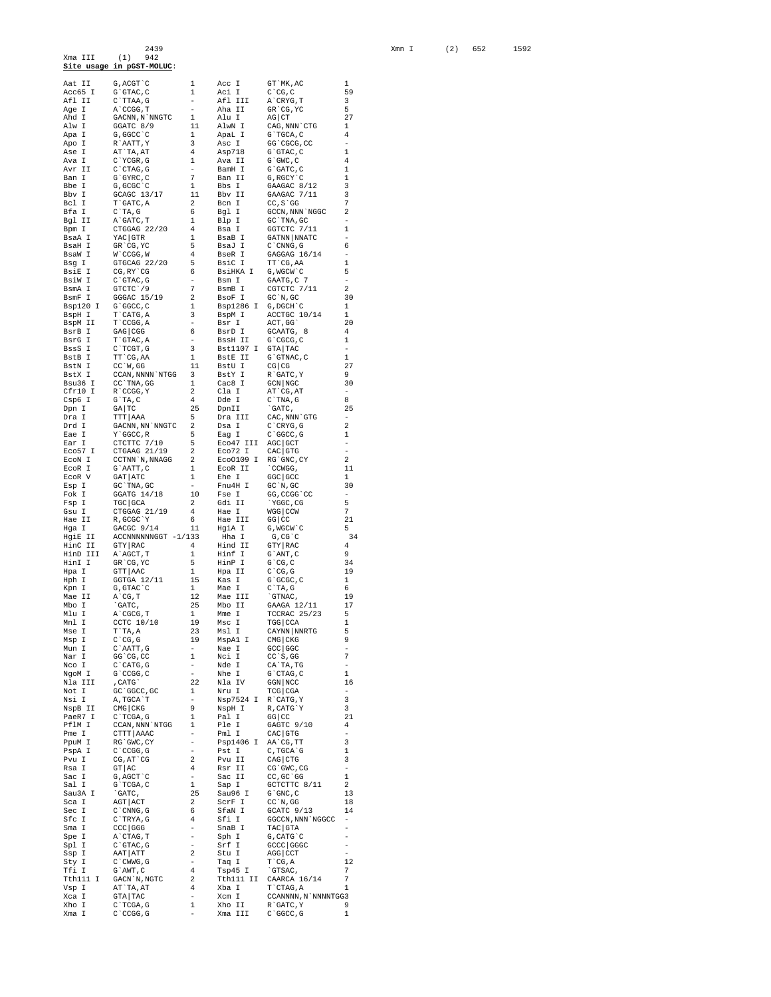2439<br>Xma III (1) 942<br>Site usage in pGST-MOLUC:

|                | G, ACGT C                                                                                                                                                                                                                                                                                                                                                                                                      | $\mathbf{1}$                             | Acc I             | GT `MK, AC                                                              | 1                          |
|----------------|----------------------------------------------------------------------------------------------------------------------------------------------------------------------------------------------------------------------------------------------------------------------------------------------------------------------------------------------------------------------------------------------------------------|------------------------------------------|-------------------|-------------------------------------------------------------------------|----------------------------|
| Aat II         |                                                                                                                                                                                                                                                                                                                                                                                                                |                                          |                   |                                                                         | 59                         |
|                |                                                                                                                                                                                                                                                                                                                                                                                                                |                                          |                   |                                                                         | 3                          |
|                |                                                                                                                                                                                                                                                                                                                                                                                                                |                                          |                   |                                                                         | 5                          |
|                |                                                                                                                                                                                                                                                                                                                                                                                                                |                                          |                   |                                                                         | 27                         |
|                |                                                                                                                                                                                                                                                                                                                                                                                                                |                                          |                   |                                                                         | $\overline{1}$             |
|                |                                                                                                                                                                                                                                                                                                                                                                                                                |                                          |                   |                                                                         | 4                          |
|                |                                                                                                                                                                                                                                                                                                                                                                                                                |                                          |                   |                                                                         |                            |
|                |                                                                                                                                                                                                                                                                                                                                                                                                                |                                          |                   |                                                                         | 1                          |
|                |                                                                                                                                                                                                                                                                                                                                                                                                                |                                          |                   |                                                                         | $\overline{4}$             |
|                |                                                                                                                                                                                                                                                                                                                                                                                                                |                                          |                   |                                                                         | $\mathbf{1}$               |
|                |                                                                                                                                                                                                                                                                                                                                                                                                                |                                          |                   |                                                                         |                            |
|                |                                                                                                                                                                                                                                                                                                                                                                                                                |                                          |                   |                                                                         | 1                          |
|                |                                                                                                                                                                                                                                                                                                                                                                                                                |                                          |                   |                                                                         | 3                          |
|                |                                                                                                                                                                                                                                                                                                                                                                                                                |                                          |                   |                                                                         | 3                          |
|                |                                                                                                                                                                                                                                                                                                                                                                                                                |                                          |                   |                                                                         | 7                          |
|                |                                                                                                                                                                                                                                                                                                                                                                                                                |                                          |                   | $\mbox{\texttt{GCCN}}$ , $\mbox{\texttt{NNN}}$ ' $\mbox{\texttt{NGGC}}$ | 2                          |
|                |                                                                                                                                                                                                                                                                                                                                                                                                                |                                          |                   |                                                                         |                            |
|                |                                                                                                                                                                                                                                                                                                                                                                                                                |                                          |                   |                                                                         | 1                          |
|                |                                                                                                                                                                                                                                                                                                                                                                                                                |                                          |                   |                                                                         |                            |
|                |                                                                                                                                                                                                                                                                                                                                                                                                                |                                          |                   |                                                                         | 6                          |
|                |                                                                                                                                                                                                                                                                                                                                                                                                                |                                          |                   | GAGGAG 16/14                                                            | $\overline{\phantom{a}}$   |
|                |                                                                                                                                                                                                                                                                                                                                                                                                                |                                          |                   |                                                                         | 1                          |
|                |                                                                                                                                                                                                                                                                                                                                                                                                                |                                          |                   |                                                                         | 5                          |
|                |                                                                                                                                                                                                                                                                                                                                                                                                                |                                          |                   |                                                                         |                            |
|                |                                                                                                                                                                                                                                                                                                                                                                                                                |                                          |                   |                                                                         | 2                          |
|                |                                                                                                                                                                                                                                                                                                                                                                                                                |                                          |                   |                                                                         | 30                         |
|                |                                                                                                                                                                                                                                                                                                                                                                                                                |                                          |                   |                                                                         | 1                          |
|                |                                                                                                                                                                                                                                                                                                                                                                                                                |                                          |                   | ACCTGC 10/14                                                            | 1                          |
|                |                                                                                                                                                                                                                                                                                                                                                                                                                |                                          |                   |                                                                         | 20                         |
|                |                                                                                                                                                                                                                                                                                                                                                                                                                |                                          |                   |                                                                         | $\overline{4}$             |
|                |                                                                                                                                                                                                                                                                                                                                                                                                                |                                          |                   |                                                                         | 1                          |
|                |                                                                                                                                                                                                                                                                                                                                                                                                                |                                          |                   |                                                                         | $\overline{\phantom{a}}$   |
|                |                                                                                                                                                                                                                                                                                                                                                                                                                |                                          |                   |                                                                         | 1                          |
|                |                                                                                                                                                                                                                                                                                                                                                                                                                |                                          |                   |                                                                         | 27                         |
|                |                                                                                                                                                                                                                                                                                                                                                                                                                |                                          |                   |                                                                         |                            |
|                |                                                                                                                                                                                                                                                                                                                                                                                                                |                                          |                   |                                                                         | 9                          |
|                |                                                                                                                                                                                                                                                                                                                                                                                                                |                                          |                   |                                                                         | 30                         |
|                |                                                                                                                                                                                                                                                                                                                                                                                                                |                                          |                   |                                                                         |                            |
|                |                                                                                                                                                                                                                                                                                                                                                                                                                |                                          |                   |                                                                         | 8                          |
|                |                                                                                                                                                                                                                                                                                                                                                                                                                |                                          |                   |                                                                         | 25                         |
|                |                                                                                                                                                                                                                                                                                                                                                                                                                |                                          |                   |                                                                         | $\overline{\phantom{m}}$   |
|                |                                                                                                                                                                                                                                                                                                                                                                                                                |                                          |                   |                                                                         | $\overline{\phantom{0}}^2$ |
|                |                                                                                                                                                                                                                                                                                                                                                                                                                |                                          |                   |                                                                         | 1                          |
|                |                                                                                                                                                                                                                                                                                                                                                                                                                |                                          |                   |                                                                         | $\overline{\phantom{a}}$   |
|                |                                                                                                                                                                                                                                                                                                                                                                                                                |                                          |                   |                                                                         | $\overline{\phantom{a}}$   |
|                |                                                                                                                                                                                                                                                                                                                                                                                                                |                                          |                   | $\overline{\phantom{0}}^2$                                              |                            |
|                |                                                                                                                                                                                                                                                                                                                                                                                                                |                                          |                   |                                                                         | 11                         |
|                |                                                                                                                                                                                                                                                                                                                                                                                                                |                                          |                   |                                                                         | 1                          |
|                |                                                                                                                                                                                                                                                                                                                                                                                                                |                                          |                   |                                                                         | 30                         |
|                |                                                                                                                                                                                                                                                                                                                                                                                                                |                                          |                   |                                                                         | $\overline{\phantom{a}}$   |
|                |                                                                                                                                                                                                                                                                                                                                                                                                                |                                          |                   | $-5$                                                                    |                            |
|                |                                                                                                                                                                                                                                                                                                                                                                                                                |                                          |                   |                                                                         |                            |
|                |                                                                                                                                                                                                                                                                                                                                                                                                                |                                          |                   |                                                                         | 7                          |
|                |                                                                                                                                                                                                                                                                                                                                                                                                                |                                          |                   |                                                                         | 21                         |
|                |                                                                                                                                                                                                                                                                                                                                                                                                                |                                          |                   |                                                                         | $\overline{\phantom{0}}$   |
|                |                                                                                                                                                                                                                                                                                                                                                                                                                |                                          |                   |                                                                         | 34                         |
|                |                                                                                                                                                                                                                                                                                                                                                                                                                |                                          |                   |                                                                         | $\overline{4}$             |
|                |                                                                                                                                                                                                                                                                                                                                                                                                                |                                          |                   |                                                                         | - 9                        |
|                |                                                                                                                                                                                                                                                                                                                                                                                                                |                                          |                   |                                                                         | - 34                       |
|                |                                                                                                                                                                                                                                                                                                                                                                                                                |                                          |                   |                                                                         |                            |
|                |                                                                                                                                                                                                                                                                                                                                                                                                                |                                          |                   |                                                                         | 19                         |
|                |                                                                                                                                                                                                                                                                                                                                                                                                                |                                          |                   |                                                                         | 1                          |
|                |                                                                                                                                                                                                                                                                                                                                                                                                                |                                          |                   |                                                                         | 6                          |
|                |                                                                                                                                                                                                                                                                                                                                                                                                                |                                          |                   |                                                                         |                            |
|                |                                                                                                                                                                                                                                                                                                                                                                                                                |                                          |                   |                                                                         | 19<br>17                   |
|                |                                                                                                                                                                                                                                                                                                                                                                                                                |                                          |                   |                                                                         |                            |
|                |                                                                                                                                                                                                                                                                                                                                                                                                                |                                          |                   | TCCRAC 25/23                                                            | 5                          |
|                |                                                                                                                                                                                                                                                                                                                                                                                                                |                                          |                   |                                                                         | 1                          |
|                |                                                                                                                                                                                                                                                                                                                                                                                                                |                                          |                   |                                                                         | 5<br>q                     |
|                |                                                                                                                                                                                                                                                                                                                                                                                                                |                                          |                   |                                                                         |                            |
|                |                                                                                                                                                                                                                                                                                                                                                                                                                |                                          |                   |                                                                         |                            |
|                |                                                                                                                                                                                                                                                                                                                                                                                                                |                                          |                   |                                                                         | 7                          |
| Nco I          | $C$ $CATG$ , $G$                                                                                                                                                                                                                                                                                                                                                                                               | $\overline{\phantom{a}}$                 | Nde I             | CA`TA, TG                                                               | $\overline{\phantom{0}}$   |
| NgoM I         | G`CCGG, C                                                                                                                                                                                                                                                                                                                                                                                                      | $-$                                      | Nhe I             | G`CTAG, C                                                               | 1                          |
| Nla III        | , CATG                                                                                                                                                                                                                                                                                                                                                                                                         | 22                                       | Nla IV            | GGN   NCC                                                               | 16                         |
| Not I          | $\begin{tabular}{cccccccc} \texttt{ASet 11} & 0, \texttt{ACFC 2} \\ \texttt{ASet 31} & 0, \texttt{CCTA}, 0 \\ \texttt{ASet 41} & 0, \texttt{GCTA}, 0 \\ \texttt{ASet 51} & 0, \texttt{GCTA}, 0 \\ \texttt{ASet 51} & 0, \texttt{GCTA}, 0 \\ \texttt{ASet 51} & 0, \texttt{GCTA}, 0 \\ \texttt{ASet 52} & 0, \texttt{GCTA}, 0 \\ \texttt{ASet 53} & 0, \texttt{GCTA}, 0 \\ \texttt{ASet 54} & $<br>GC `GGCC, GC | 1                                        | Nru I             | $TCG$ $CGA$                                                             | $\overline{\phantom{a}}$   |
| Nsi I          | A, TGCA`T                                                                                                                                                                                                                                                                                                                                                                                                      | $\overline{\phantom{a}}$                 | Nsp7524 I         | R`CATG, Y                                                               | 3                          |
| NspB II        | CMG CKG                                                                                                                                                                                                                                                                                                                                                                                                        | 9                                        | NspH I            | R, CATG`Y                                                               | 3                          |
| PaeR7 I        | C`TCGA, G                                                                                                                                                                                                                                                                                                                                                                                                      | $\mathbf{1}$                             | Pal I             | $GG$ $CC$                                                               | 21                         |
| PflM I         | CCAN, NNN`NTGG                                                                                                                                                                                                                                                                                                                                                                                                 | 1                                        | Ple I             | GAGTC 9/10                                                              | 4                          |
| Pme I          | CTTT AAAC                                                                                                                                                                                                                                                                                                                                                                                                      | $\overline{\phantom{a}}$                 | Pml I             | $CAC$ GTG                                                               | $\qquad \qquad -$          |
| PpuM I         | RG`GWC, CY                                                                                                                                                                                                                                                                                                                                                                                                     | $\overline{\phantom{0}}$                 | Psp1406 I         | AA`CG, TT                                                               | 3                          |
| PspA I         | C `CCGG, G                                                                                                                                                                                                                                                                                                                                                                                                     | $\overline{\phantom{a}}$                 | Pst I             | $\mathtt{C}$ , $\mathtt{TGCA}$<br>$\mathtt{G}$                          | 1                          |
| Pvu I          | $CG, AT$ $CG$                                                                                                                                                                                                                                                                                                                                                                                                  | $\,2$                                    | Pvu II            | $CAG$ $CTG$                                                             | 3                          |
| Rsa I          | GT   AC                                                                                                                                                                                                                                                                                                                                                                                                        | 4                                        | Rsr II            | CG`GWC, CG                                                              | $\overline{\phantom{a}}$   |
| Sac I          | G, AGCT C                                                                                                                                                                                                                                                                                                                                                                                                      | $\overline{\phantom{a}}$                 | Sac II            | $CC, GC$ $GG$                                                           | 1                          |
| Sal I          | G`TCGA, C                                                                                                                                                                                                                                                                                                                                                                                                      | $\mathbf{1}$                             | Sap I             | GCTCTTC 8/11                                                            | 2                          |
| Sau3A I        | `GATC,                                                                                                                                                                                                                                                                                                                                                                                                         | 25                                       | Sau96 I           | $G$ $'$ GNC, $C$                                                        | 13                         |
| Sca I          | AGT ACT                                                                                                                                                                                                                                                                                                                                                                                                        | 2                                        | ScrF I            | $CC^N$ , GG                                                             | 18                         |
| Sec I          |                                                                                                                                                                                                                                                                                                                                                                                                                | 6                                        |                   | GCATC 9/13                                                              | 14                         |
|                | $C$ $CMNG$ , $G$                                                                                                                                                                                                                                                                                                                                                                                               |                                          | SfaN I            |                                                                         | $\qquad \qquad -$          |
| Sfc I          | C`TRYA, G                                                                                                                                                                                                                                                                                                                                                                                                      | 4                                        | Sfi I             | GGCCN, NNN 'NGGCC                                                       |                            |
| Sma I          | $CCC$ GGG                                                                                                                                                                                                                                                                                                                                                                                                      | $\overline{\phantom{0}}$                 | SnaB I            | TAC GTA                                                                 | $\qquad \qquad -$          |
| Spe I          | A`CTAG, T                                                                                                                                                                                                                                                                                                                                                                                                      | $\overline{\phantom{a}}$                 | Sph I             | $G$ , CAT $G$ $C$                                                       | ÷                          |
| Spl I          | $C$ $GTAC$ , $G$                                                                                                                                                                                                                                                                                                                                                                                               | $\frac{1}{2}$                            | Srf I             | GCCC GGGC                                                               | ä,                         |
| Ssp I          | AAT ATT                                                                                                                                                                                                                                                                                                                                                                                                        | 2                                        | Stu I             | AGG CCT                                                                 |                            |
| Sty I          | $C$ $\degree$ CWWG, G                                                                                                                                                                                                                                                                                                                                                                                          | $\overline{\phantom{a}}$                 | Taq I             | $T$ $CG, A$                                                             | 12                         |
| Tfi I          | $G$ $AWT, C$                                                                                                                                                                                                                                                                                                                                                                                                   | 4                                        | Tsp45 I           | `GTSAC,                                                                 | 7                          |
| Tth111 I       | GACN `N, NGTC                                                                                                                                                                                                                                                                                                                                                                                                  | 2                                        | Tth111 II         | CAARCA 16/14                                                            | 7                          |
| Vsp I          | AT`TA, AT                                                                                                                                                                                                                                                                                                                                                                                                      | 4                                        | Xba I             | T`CTAG, A                                                               | 1                          |
| Xca I          | $GTA$ TAC                                                                                                                                                                                                                                                                                                                                                                                                      | $\overline{\phantom{a}}$                 | Xcm I             | CCANNNN, N`NNNNTGG3                                                     |                            |
| Xho I<br>Xma I | C`TCGA, G<br>C CCGG, G                                                                                                                                                                                                                                                                                                                                                                                         | $\mathbf{1}$<br>$\overline{\phantom{a}}$ | Xho II<br>Xma III | R GATC, Y<br>$C$ $C$ $G$ $C$ $C$ $G$                                    | 9<br>1                     |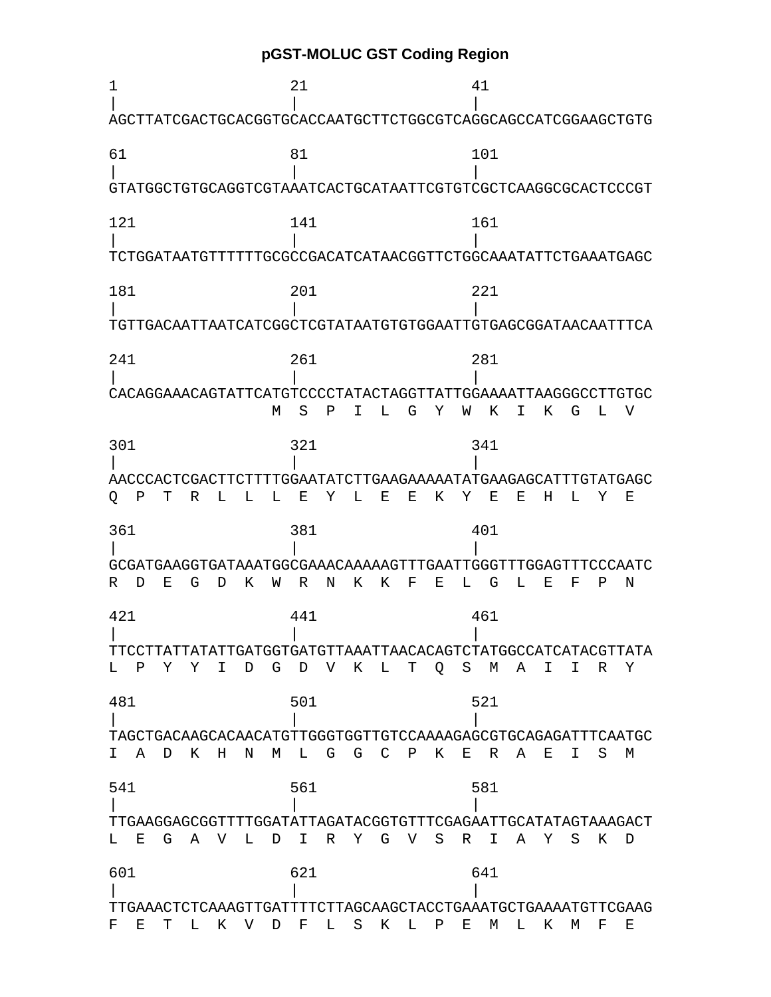**pGST-MOLUC GST Coding Region** 

1 21 41 | | | AGCTTATCGACTGCACGGTGCACCAATGCTTCTGGCGTCAGGCAGCCATCGGAAGCTGTG 61 81 101 | | | GTATGGCTGTGCAGGTCGTAAATCACTGCATAATTCGTGTCGCTCAAGGCGCACTCCCGT 121 141 161 | | | TCTGGATAATGTTTTTTGCGCCGACATCATAACGGTTCTGGCAAATATTCTGAAATGAGC 181 201 221 | | | TGTTGACAATTAATCATCGGCTCGTATAATGTGTGGAATTGTGAGCGGATAACAATTTCA 241 261 281 | | | CACAGGAAACAGTATTCATGTCCCCTATACTAGGTTATTGGAAAATTAAGGGCCTTGTGC M S P I L G Y W K I K G L V 301 321 341 | | | AACCCACTCGACTTCTTTTGGAATATCTTGAAGAAAAATATGAAGAGCATTTGTATGAGC Q P T R L L L E Y L E E K Y E E H L Y E 361 381 401 | | | GCGATGAAGGTGATAAATGGCGAAACAAAAAGTTTGAATTGGGTTTGGAGTTTCCCAATC R D E G D K W R N K K F E L G L E F P N 421 441 461 | | | TTCCTTATTATATTGATGGTGATGTTAAATTAACACAGTCTATGGCCATCATACGTTATA L P Y Y I D G D V K L T Q S M A I I R Y 481 501 521 | | | TAGCTGACAAGCACAACATGTTGGGTGGTTGTCCAAAAGAGCGTGCAGAGATTTCAATGC I A D K H N M L G G C P K E R A E I S M 541 561 581 | | | TTGAAGGAGCGGTTTTGGATATTAGATACGGTGTTTCGAGAATTGCATATAGTAAAGACT L E G A V L D I R Y G V S R I A Y S K D 601 621 641 | | | TTGAAACTCTCAAAGTTGATTTTCTTAGCAAGCTACCTGAAATGCTGAAAATGTTCGAAG F E T L K V D F L S K L P E M L K M F E